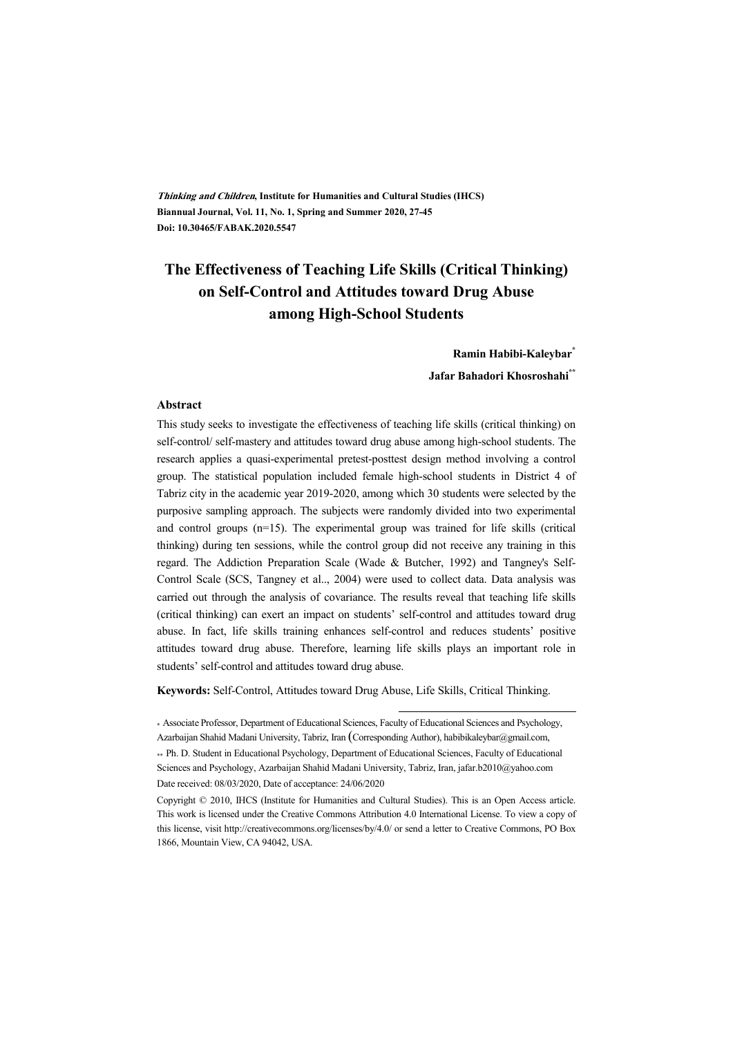**Thinking and Children, Institute for Humanities and Cultural Studies (IHCS) Biannual Journal, Vol. 11, No. 1, Spring and Summer 2020, 27-45 Doi: 10.30465/FABAK.2020.5547** 

# **The Effectiveness of Teaching Life Skills (Critical Thinking) on Self-Control and Attitudes toward Drug Abuse among High-School Students**

**Ramin Habibi-Kaleybar\***

**Jafar Bahadori Khosroshahi\*\***

#### **Abstract**

This study seeks to investigate the effectiveness of teaching life skills (critical thinking) on self-control/ self-mastery and attitudes toward drug abuse among high-school students. The research applies a quasi-experimental pretest-posttest design method involving a control group. The statistical population included female high-school students in District 4 of Tabriz city in the academic year 2019-2020, among which 30 students were selected by the purposive sampling approach. The subjects were randomly divided into two experimental and control groups (n=15). The experimental group was trained for life skills (critical thinking) during ten sessions, while the control group did not receive any training in this regard. The Addiction Preparation Scale (Wade & Butcher, 1992) and Tangney's Self-Control Scale (SCS, Tangney et al.., 2004) were used to collect data. Data analysis was carried out through the analysis of covariance. The results reveal that teaching life skills (critical thinking) can exert an impact on students' self-control and attitudes toward drug abuse. In fact, life skills training enhances self-control and reduces students' positive attitudes toward drug abuse. Therefore, learning life skills plays an important role in students' self-control and attitudes toward drug abuse.

**Keywords:** Self-Control, Attitudes toward Drug Abuse, Life Skills, Critical Thinking.

\* Associate Professor, Department of Educational Sciences, Faculty of Educational Sciences and Psychology, Azarbaijan Shahid Madani University, Tabriz, Iran (Corresponding Author), habibikaleybar@gmail.com, \*\* Ph. D. Student in Educational Psychology, Department of Educational Sciences, Faculty of Educational Sciences and Psychology, Azarbaijan Shahid Madani University, Tabriz, Iran, jafar.b2010@yahoo.com Date received: 08/03/2020, Date of acceptance: 24/06/2020

.

Copyright © 2010, IHCS (Institute for Humanities and Cultural Studies). This is an Open Access article. This work is licensed under the Creative Commons Attribution 4.0 International License. To view a copy of this license, visit http://creativecommons.org/licenses/by/4.0/ or send a letter to Creative Commons, PO Box 1866, Mountain View, CA 94042, USA.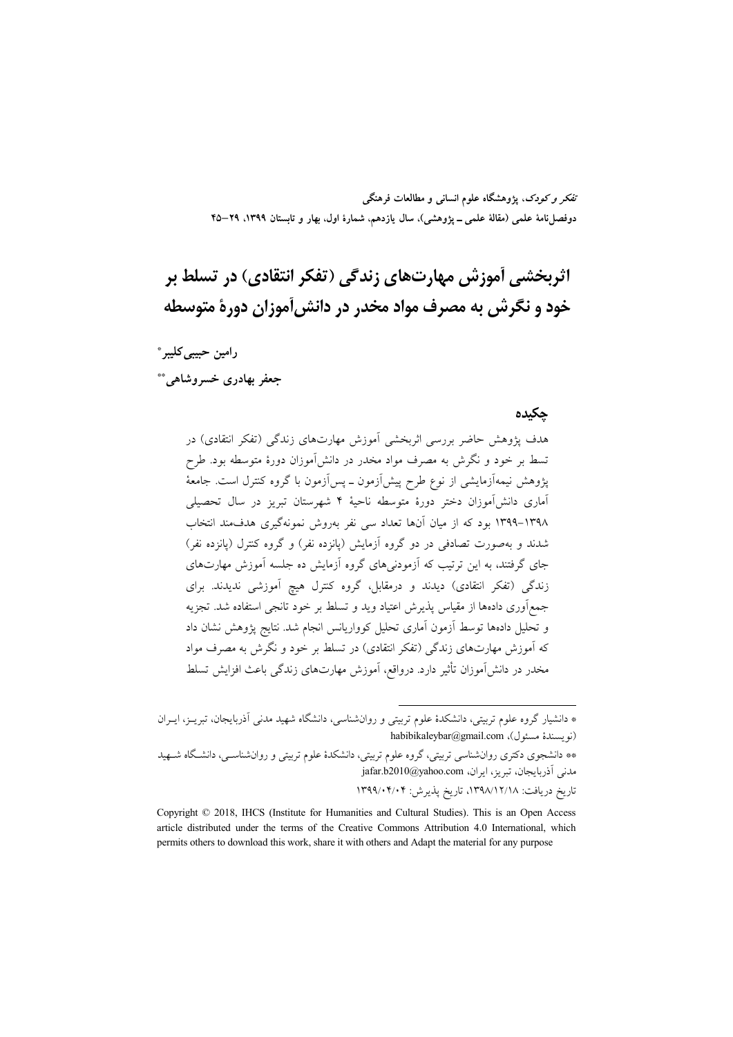تفکر و کودک، یژوهشگاه علوم انسانی و مطالعات فرهنگی دوفصلiامهٔ علمی (مقالهٔ علمی ــ پژوهشی)، سال یازدهم، شمارهٔ اول، بهار و تابستان ۱۳۹۹، ۲۹–۴۵

# اثربخشی آموزش مهارتهای زندگی (تفکر انتقادی) در تسلط بر خود و نگرش به مصرف مواد مخدر در دانش[موزان دورهٔ متوسطه

رامين حبيبي كليبر \* جعفر بهادري خسروشاهي.\*\*

#### حكىدە

هدف پژوهش حاضر بررسی اثربخشی آموزش مهارتهای زندگی (تفکر انتقادی) در تسط بر خود و نگرش به مصرف مواد مخدر در دانشآموزان دورهٔ متوسطه بود. طرح پژوهش نیمهآزمایشی از نوع طرح پیشآزمون ــ پسآزمون با گروه کنترل است. جامعهٔ آماری دانشآموزان دختر دورهٔ متوسطه ناحیهٔ ۴ شهرستان تبریز در سال تحصیلی ۱۳۹۸–۱۳۹۹ بود که از میان آنها تعداد سی نفر بهروش نمونهگیری هدف،مند انتخاب شدند و بهصورت تصادفی در دو گروه آزمایش (یانزده نفر) و گروه کنترل (یانزده نفر) جای گرفتند، به این ترتیب که آزمودنیهای گروه آزمایش ده جلسه آموزش مهارتهای زندگی (تفکر انتقادی) دیدند و درمقابل، گروه کنترل هیچ آموزشی ندیدند. برای جمع|وری دادهها از مقیاس پذیرش اعتیاد وید و تسلط بر خود تانجی استفاده شد. تجزیه و تحلیل دادهها توسط آزمون آماری تحلیل کوواریانس انجام شد. نتایج پژوهش نشان داد که آموزش مهارتهای زندگی (تفکر انتقادی) در تسلط بر خود و نگرش به مصرف مواد مخدر در دانش آموزان تأثیر دارد. درواقع، آموزش مهارتهای زندگی باعث افزایش تسلط

\*\* دانشجوی دکتری روان شناسی تربیتی، گروه علوم تربیتی، دانشکدهٔ علوم تربیتی و روان شناسـی، دانشـگاه شـهید نمی آذربایجان، تبریز، ایران، jafar.b2010@yahoo.com

تاریخ دریافت: ۱۳۹۸/۱۲/۱۸، تاریخ پذیرش: ۱۳۹۹/۰۴/۰۴

<sup>\*</sup> دانشیار گروه علوم تربیتی، دانشکدهٔ علوم تربیتی و روانشناسی، دانشگاه شهید مدنی اَذربایجان، تبریـز، ایــران habibikaleybar@gmail.com (نو يسندهٔ مسئول)

Copyright © 2018, IHCS (Institute for Humanities and Cultural Studies). This is an Open Access article distributed under the terms of the Creative Commons Attribution 4.0 International, which permits others to download this work, share it with others and Adapt the material for any purpose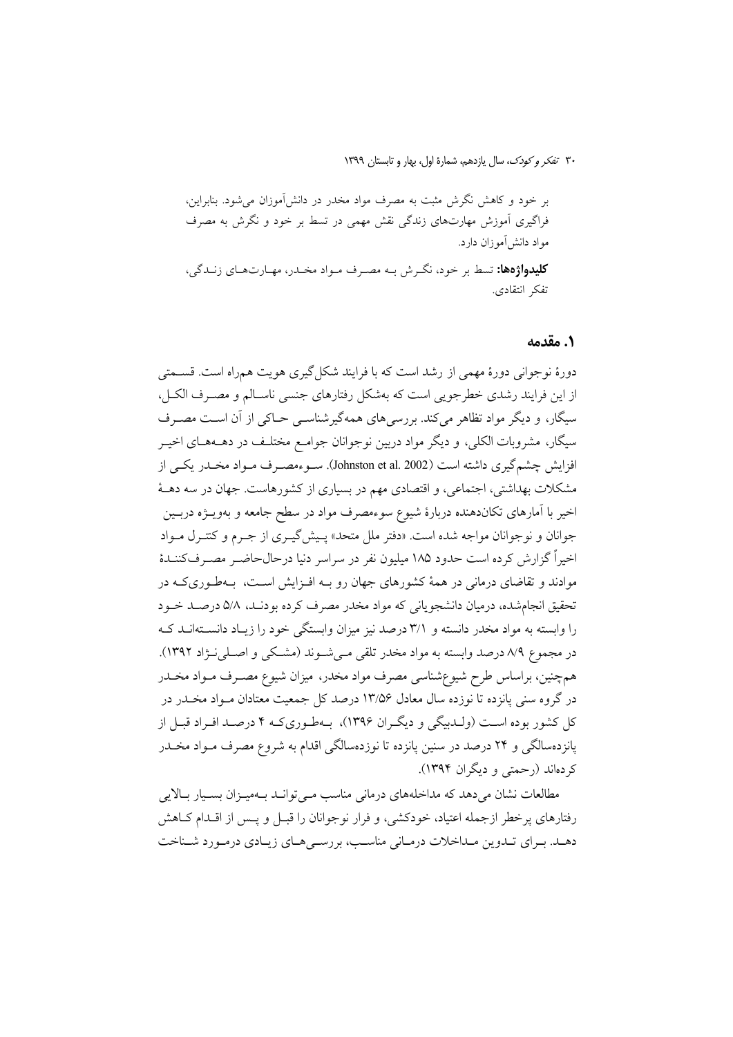بر خود و کاهش نگرش مثبت به مصرف مواد مخدر در دانش آموزان می شود. بنابراین، فراگیری آموزش مهارتهای زندگی نقش مهمی در تسط بر خود و نگرش به مصرف مواد دانش آموزان دارد. **کلیدواژهها:** تسط بر خود، نگـرش بـه مصـرف مـواد مخـدر، مهـارتهـاي زنـدگي، تفكر انتقادى.

#### 1. مقدمه

دورهٔ نوجوانی دورهٔ مهمی از رشد است که با فرایند شکل گیری هویت همراه است. قســمتی از این فرایند رشدی خطرجویی است که بهشکل رفتارهای جنسی ناسـالم و مصـرف الکـل، سیگار، و دیگر مواد تظاهر میکند. بررسیهای همهگیرشناسبی حـاکی از آن اسـت مصـرف سیگار، مشروبات الکلی، و دیگر مواد دربین نوجوانان جوامـع مختلـف در دهــههــای اخیــر افزایش چشمگیری داشته است (Johnston et al. 2002). سـوءمصـرف مـواد مخـدر یکـی از مشکلات بهداشتی، اجتماعی، و اقتصادی مهم در بسیاری از کشورهاست. جهان در سه دهـهٔ اخير با آمارهاي تكاندهنده دربارهٔ شيوع سوءمصرف مواد در سطح جامعه و بهويــژه دربــين جوانان و نوجوانان مواجه شده است. «دفتر ملل متحد» پـیش گیـری از جـرم و کنتـرل مـواد اخیراً گزارش کرده است حدود ۱۸۵ میلیون نفر در سراسر دنیا درحالحاضـر مصـر فکننــدهٔ موادند و تقاضای درمانی در همهٔ کشورهای جهان رو بـه افـزایش اسـت، بـهطـوریکـه در تحقیق انجامشده، درمیان دانشجویانی که مواد مخدر مصرف کرده بودنـد، ۵/۸ درصـد خــود را وابسته به مواد مخدر دانسته و ۳/۱ درصد نیز میزان وابستگی خود را زیـاد دانســتهانــد کــه در مجموع ۸/۹ درصد وابسته به مواد مخدر تلقی مے شـوند (مشـکی و اصـلی نـۋاد ۱۳۹۲). همچنین، براساس طرح شیوعشناسی مصرف مواد مخدر، میزان شیوع مصـرف مـواد مخـدر در گروه سنی پانزده تا نوزده سال معادل ۱۳/۵۶ درصد کل جمعیت معتادان مـواد مخــدر در کل کشور بوده است (ولـدبيگي و ديگـران ۱۳۹۶)، بـهطـوريکـه ۴ درصـد افـراد قبـل از یانزدهسالگی و ۲۴ درصد در سنین یانزده تا نوزدهسالگی اقدام به شروع مصرف مـواد مخــدر کر دہاند (رحمتی و دیگران ۱۳۹۴).

مطالعات نشان می دهد که مداخلههای درمانی مناسب مـی توانـد بـهمیـزان بسـیار بـالایی رفتارهای پرخطر ازجمله اعتیاد، خودکشی، و فرار نوجوانان را قبـل و پـس از اقــدام کــاهش دهـد. بـرای تـدوین مـداخلات درمـانی مناسـب، بررسـی هـای زیـادی درمـورد شـناخت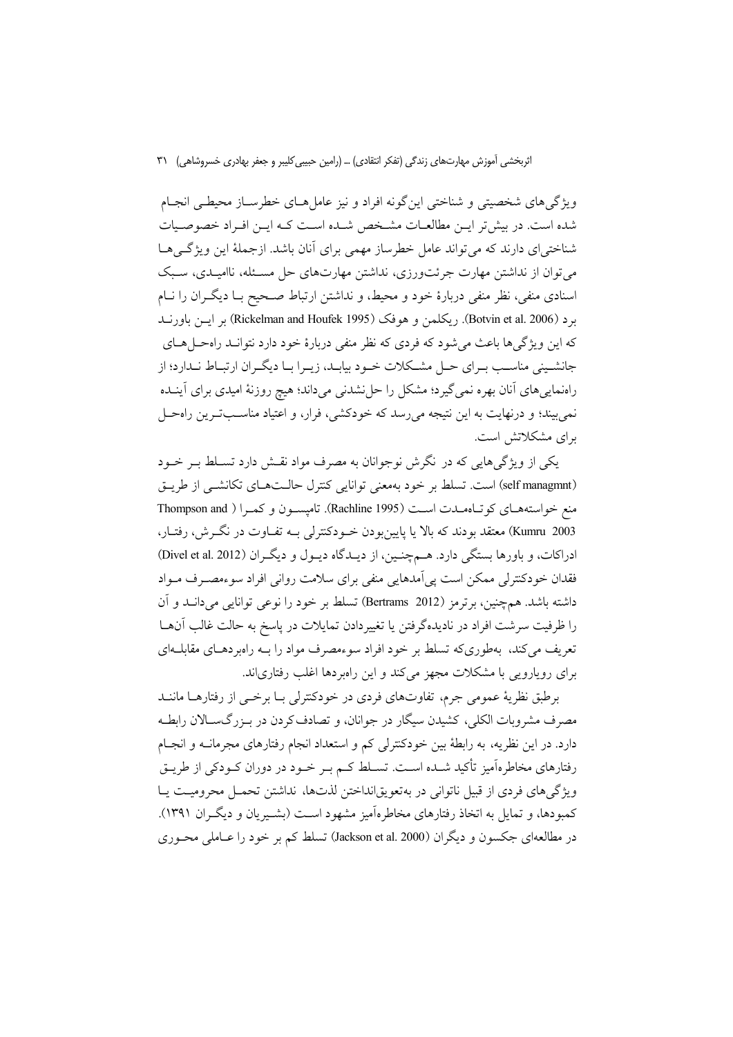ویژگیهای شخصیتی و شناختی این گونه افراد و نیز عاملهای خطرسـاز محیطـی انجـام شده است. در بیش تر ایـن مطالعـات مشـخص شـده اسـت کـه ایـن افـراد خصوصـیات شناختی ای دارند که می تواند عامل خطرساز مهمی برای آنان باشد. ازجملهٔ این ویژگی هـا می توان از نداشتن مهارت جرئتورزی، نداشتن مهارتهای حل مسئله، ناامیـدی، سـبک اسنادی منفی، نظر منفی دربارهٔ خود و محیط، و نداشتن ارتباط صـحیح بـا دیگـران را نـام برد (Botvin et al. 2006). ريكلمن و هوفك (Rickelman and Houfek 1995) بر ايس باورنــد که این ویژگی ها باعث می شود که فردی که نظر منفی دربارهٔ خود دارد نتوانید راه حرا هیای جانشینی مناسب بـرای حـل مشـكلات خـود بیابـد، زیـرا بـا دیگـران ارتبـاط نـدارد؛ از راهنماییهای آنان بهره نمیگیرد؛ مشکل را حل نشدنی میداند؛ هیچ روزنهٔ امیدی برای آینـده نمی بیند؛ و درنهایت به این نتیجه می رسد که خودکشی، فرار، و اعتیاد مناسـبتـرین راهحـل برای مشکلاتش است.

یکی از ویژگی هایی که در نگرش نوجوانان به مصرف مواد نقـش دارد تسـلط بـر خــود (self managmnt) است. تسلط بر خود بهمعنی توانایی کنترل حالتهای تکانشبی از طریـق منع خواستههای کو تباهمیدت است (Rachline 1995). تامیسون و کمبرا ( Thompson and Kumru 2003) معتقد بودند كه بالا يا پايين بودن خــودكنترلي بــه تفــاوت در نگــرش، رفتــار، ادراکات، و باورها بستگی دارد. همچنین، از دیـدگاه دیـول و دیگـران (Divel et al. 2012) فقدان خودکنترلی ممکن است یی اَمدهایی منفی برای سلامت روانی افراد سوءمصـرف مـواد داشته باشد. همچنین، برترمز (Bertrams 2012) تسلط بر خود را نوعی توانایی می دانــد و آن را ظرفیت سرشت افراد در نادیدهگر فتن یا تغییردادن تمایلات در پاسخ به حالت غالب آنهــا تعریف میکند، بهطوریکه تسلط بر خود افراد سوءمصرف مواد را بـه راهبردهـای مقابلـهای برای رویارویی با مشکلات مجهز میکند و این رامبردها اغلب رفتاریاند.

برطبق نظریهٔ عمومی جرم، تفاوتهای فردی در خودکنترلی بـا برخــی از رفتارهــا ماننــد مصرف مشروبات الكلي، كشيدن سيگار در جوانان، و تصادف كردن در بـزرگسـالان رابطـه دارد. در این نظریه، به رابطهٔ بین خودکنترلی کم و استعداد انجام رفتارهای مجرمانــه و انجــام رفتارهای مخاطرهآمیز تأکید شــده اســت. تســلط کــم بــر خــود در دوران کــودکی از طریــق ویژگیهای فردی از قبیل ناتوانی در بهتعویقانداختن لذتها، نداشتن تحمــل محرومیــت یــا کمبودها، و تمایل به اتخاذ رفتارهای مخاطرهآمیز مشهود است (بشـیریان و دیگـران ۱۳۹۱). در مطالعهای جکسون و دیگران (Jackson et al. 2000) تسلط کم بر خود را عـاملی محـوری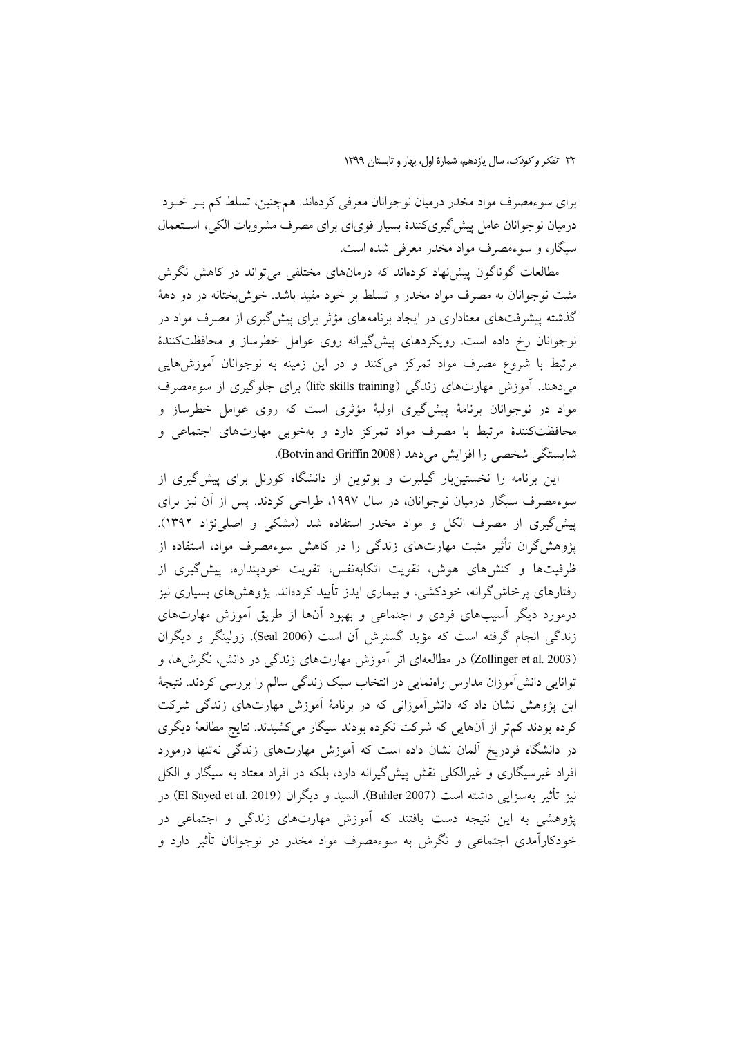برای سوءمصرف مواد مخدر درمیان نوجوانان معرفی کردهاند. همچنین، تسلط کم بــر خــود درمیان نوجوانان عامل پیش گیریکنندهٔ بسیار قویای برای مصرف مشروبات الکی، استعمال سیگار، و سوءمصرف مواد مخدر معرفی شده است.

مطالعات گوناگون پیش نهاد کردهاند که درمانهای مختلفی می تواند در کاهش نگرش مثبت نوجوانان به مصرف مواد مخدر و تسلط بر خود مفید باشد. خوش بختانه در دو دههٔ گذشته پیشرفتهای معناداری در ایجاد برنامههای مؤثر برای پیش گیری از مصرف مواد در نوجوانان رخ داده است. رویکردهای پیشگیرانه روی عوامل خطرساز و محافظتکنندهٔ مرتبط با شروع مصرف مواد تمرکز میکنند و در این زمینه به نوجوانان أموزشهایی می دهند. آموزش مهارتهای زندگی (life skills training) برای جلوگیری از سوءمصرف مواد در نوجوانان برنامهٔ پیشگیری اولیهٔ مؤثری است که روی عوامل خطرساز و محافظتکنندهٔ مرتبط با مصرف مواد تمرکز دارد و بهخوبی مهارتهای اجتماعی و شايستگي شخصي را افزايش مي دهد (Botvin and Griffin 2008).

این برنامه را نخستینبار گیلبرت و بوتوین از دانشگاه کورنل برای پیش گیری از سوءمصرف سیگار درمیان نوجوانان، در سال ۱۹۹۷، طراحی کردند. پس از آن نیز برای پیش گیری از مصرف الکل و مواد مخدر استفاده شد (مشکی و اصلی نژاد ۱۳۹۲). پژوهش گران تأثیر مثبت مهارتهای زندگی را در کاهش سوءمصرف مواد، استفاده از ظرفیتها و کنشهای هوش، تقویت اتکابهنفس، تقویت خودپنداره، پیش گیری از رفتارهای پرخاش گرانه، خودکشی، و بیماری ایدز تأیید کردهاند. پژوهش۵ای بسیاری نیز درمورد دیگر آسیبهای فردی و اجتماعی و بهبود آنها از طریق آموزش مهارتهای زندگی انجام گرفته است که مؤید گسترش آن است (Seal 2006). زولینگر و دیگران (Zollinger et al. 2003) در مطالعهای اثر آموزش مهارتهای زندگی در دانش، نگرشها، و توانایی دانش[موزان مدارس راهنمایی در انتخاب سبک زندگی سالم را بررسی کردند. نتیجهٔ این پژوهش نشان داد که دانشآموزانی که در برنامهٔ آموزش مهارتهای زندگی شرکت کرده بودند کم تر از آنهایی که شرکت نکرده بودند سیگار میکشیدند. نتایج مطالعهٔ دیگری در دانشگاه فردریخ آلمان نشان داده است که آموزش مهارتهای زندگی نهتنها درمورد افراد غیرسیگاری و غیرالکلی نقش پیش گیرانه دارد، بلکه در افراد معتاد به سیگار و الکل نيز تأثير بهسزايي داشته است (Buhler 2007). السيد و ديگران (El Sayed et al. 2019) در یژوهشی به این نتیجه دست یافتند که آموزش مهارتهای زندگی و اجتماعی در خودکارآمدی اجتماعی و نگرش به سوءمصرف مواد مخدر در نوجوانان تأثیر دارد و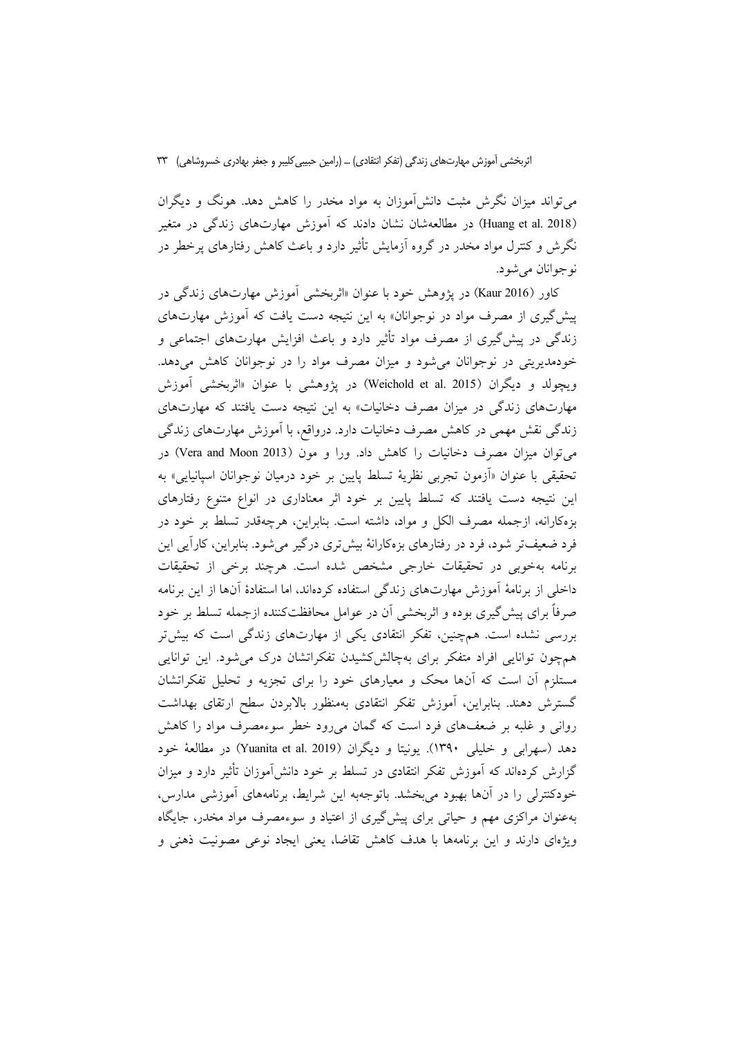میتواند میزان نگرش مثبت دانشآموزان به مواد مخدر را کاهش دهد. هونگ و دیگران (Huang et al. 2018) در مطالعهشان نشان دادند که آموزش مهارتهای زندگی در متغیر نگرش و کنترل مواد مخدر در گروه آزمایش تأثیر دارد و باعث کاهش رفتارهای پرخطر در نوجوانان مي شود.

کاور (Kaur 2016) در پژوهش خود با عنوان «اثربخشی اَموزش مهارتهای زندگی در پیش گیری از مصرف مواد در نوجوانان» به این نتیجه دست یافت که آموزش مهارتهای زندگی در پیشگیری از مصرف مواد تأثیر دارد و باعث افزایش مهارتهای اجتماعی و خودمدیریتی در نوجوانان می شود و میزان مصرف مواد را در نوجوانان کاهش میدهد. ويجولد و ديگران (Weichold et al. 2015) در پژوهشي با عنوان «اثربخشي آموزش مهارتهای زندگی در میزان مصرف دخانیات» به این نتیجه دست یافتند که مهارتهای زندگی نقش مهمی در کاهش مصرف دخانیات دارد. درواقع، با آموزش مهارتهای زندگی می توان میزان مصرف دخانیات را کاهش داد. ورا و مون (2013 Vera and Moon) در تحقیقی با عنوان «اَزمون تجربی نظریهٔ تسلط پایین بر خود درمیان نوجوانان اسپانیایی» به این نتیجه دست یافتند که تسلط پایین بر خود اثر معناداری در انواع متنوع رفتارهای بزه كارانه، ازجمله مصرف الكل و مواد، داشته است. بنابراين، هرچهقدر تسلط بر خود در فرد ضعیفتر شود، فرد در رفتارهای بزهکارانهٔ بیشتری درگیر میشود. بنابراین، کارأیی این برنامه بهخوبی در تحقیقات خارجی مشخص شده است. هرچند برخی از تحقیقات داخلی از برنامهٔ آموزش مهارتهای زندگی استفاده کردهاند، اما استفادهٔ آنها از این برنامه صرفاً برای پیشگیری بوده و اثربخشی آن در عوامل محافظتکننده ازجمله تسلط بر خود بررسی نشده است. همچنین، تفکر انتقادی یکی از مهارتهای زندگی است که بیشتر همچون توانایی افراد متفکر برای بهچالشگشیدن تفکراتشان درک می شود. این توانایی مستلزم آن است که آنها محک و معیارهای خود را برای تجزیه و تحلیل تفکراتشان گسترش دهند. بنابراین، آموزش تفکر انتقادی بهمنظور بالابردن سطح ارتقای بهداشت روانی و غلبه بر ضعفهای فرد است که گمان میرود خطر سوءمصرف مواد را کاهش دهد (سهرابي و خليلي ١٣٩٠). يونيتا و ديگران (Yuanita et al. 2019) در مطالعهٔ خود گزارش کردهاند که آموزش تفکر انتقادی در تسلط بر خود دانش[موزان تأثیر دارد و میزان خودکنترلی را در آنها بهبود می بخشد. باتوجهبه این شرایط، برنامههای آموزشی مدارس، بهعنوان مراکزی مهم و حیاتی برای پیشگیری از اعتیاد و سوءمصرف مواد مخدر، جایگاه ویژهای دارند و این برنامهها با هدف کاهش تقاضا، یعنی ایجاد نوعی مصونیت ذهنی و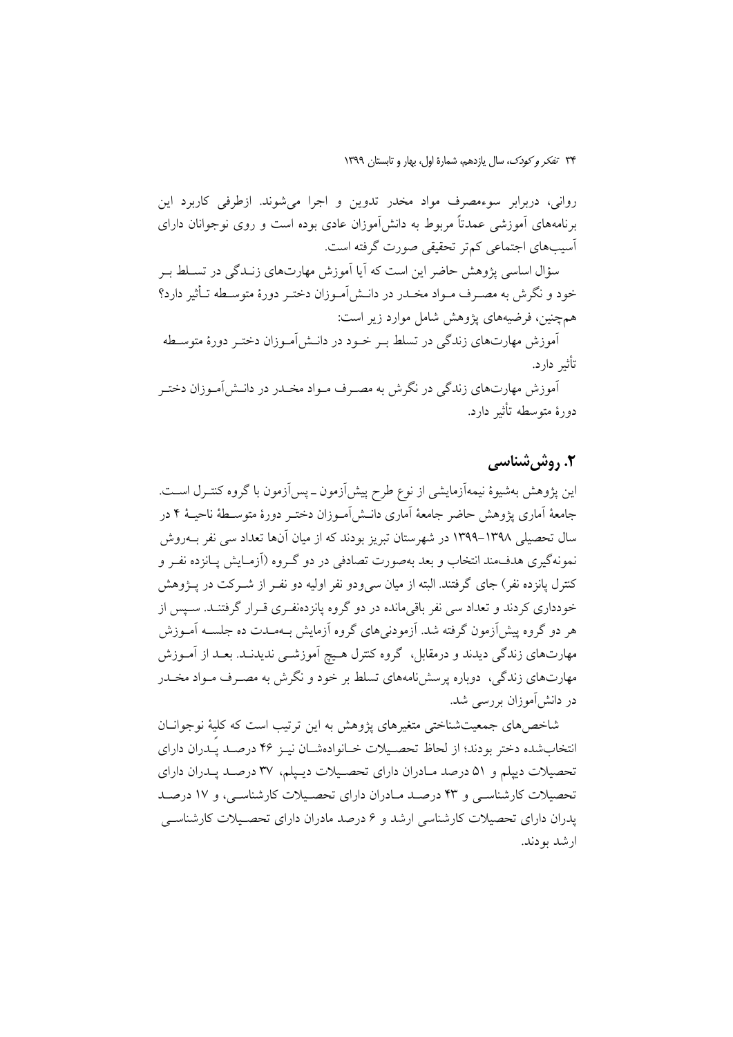رواني، دربرابر سوءمصرف مواد مخدر تدوين و اجرا مي شوند. ازطرفي كاربرد اين برنامههای آموزشی عمدتاً مربوط به دانش[موزان عادی بوده است و روی نوجوانان دارای اًسیبهای اجتماعی کمتر تحقیقی صورت گرفته است.

سؤال اساسی پژوهش حاضر این است که آیا آموزش مهارتهای زنـدگی در تسـلط بـر خود و نگرش به مصـرف مـواد مخـدر در دانـش|مـوزان دختـر دورهٔ متوسـطه تـأثیر دارد؟ همچنین، فرضیههای یژوهش شامل موارد زیر است:

آموزش مهارتهای زندگی در تسلط بـر خـود در دانـش|مـوزان دختـر دورهٔ متوسـطه تأثير دارد.

آموزش مهارتهای زندگی در نگرش به مصـرف مـواد مخـدر در دانـش|مـوزان دختـر دورهٔ متوسطه تأثیر دارد.

## ۲. روش شناسی

این یژوهش بهشیوهٔ نیمهآزمایشی از نوع طرح پیش[زمون ـ پس[زمون با گروه کنتـرل اســت. جامعهٔ اَماری یژوهش حاضر جامعهٔ اَماری دانــش[مــوزان دختــر دورهٔ متوســطهٔ ناحیــهٔ ۴ در سال تحصیلی ۱۳۹۸–۱۳۹۹ در شهرستان تبریز بودند که از میان آنها تعداد سی نفر بــهروش نمونهگیری هدفمند انتخاب و بعد بهصورت تصادفی در دو گـروه (اَزمـایش پـانزده نفـر و کنترل یانزده نفر ) جای گرفتند. البته از میان سی ودو نفر اولیه دو نفـر از شــرکت در پــژوهش خودداری کردند و تعداد سی نفر باقیمانده در دو گروه یانزدهنفـری قــرار گرفتنــد. ســیس از هر دو گروه پیشآزمون گرفته شد. آزمودنی۵ای گروه آزمایش بـهمـدت ده جلســه آمــوزش مهارتهای زندگی دیدند و درمقابل، گروه کنترل هـیچ آموزشــی ندیدنــد. بعــد از آمــوزش مهارتهای زندگی، دوباره پرسشنامههای تسلط بر خود و نگرش به مصـرف مـواد مخــدر در دانش آموزان بررسی شد.

شاخصهای جمعیتشناختی متغیرهای پژوهش به این ترتیب است که کلیهٔ نوجوانـان انتخاب شده دختر بودند؛ از لحاظ تحصـيلات خـانوادهشـان نيـز ۴۶ درصـد يـدران داراي تحصیلات دیپلم و ۵۱ درصد مـادران دارای تحصـیلات دیـیلم، ۳۷ درصـد پـدران دارای تحصیلات کارشناسی و ۴۳ درصد مادران دارای تحصیلات کارشناسی، و ۱۷ درصد یدران دارای تحصیلات کارشناسی ارشد و ۶ درصد مادران دارای تحصـیلات کارشناسـی ارشد بودند.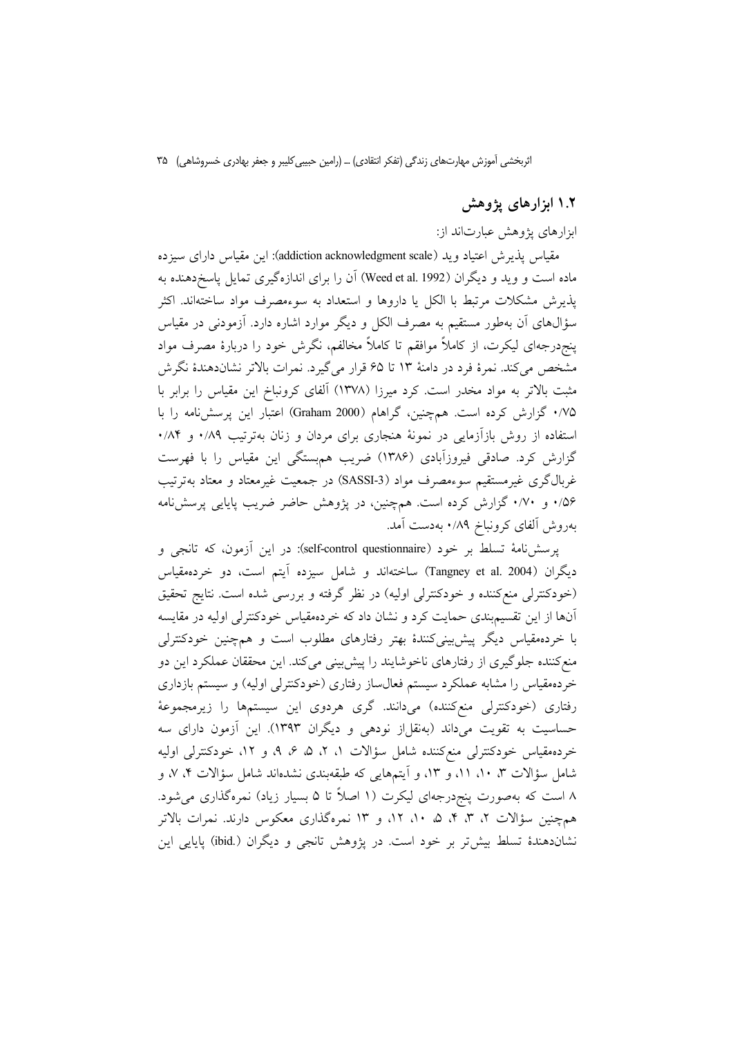### ۱.۲ ابزارهای پژوهش

ابزارهای پژوهش عبارتاند از:

مقیاس پذیرش اعتیاد وید (addiction acknowledgment scale): این مقیاس دارای سیزده ماده است و وید و دیگران (Weed et al. 1992) آن را برای اندازهگیری تمایل پاسخدهنده به پذیرش مشکلات مرتبط با الکل یا داروها و استعداد به سوءمصرف مواد ساختهاند. اکثر سؤالهای آن بهطور مستقیم به مصرف الکل و دیگر موارد اشاره دارد. آزمودنی در مقیاس پنجردرجهای لیکرت، از کاملاً موافقم تا کاملاً مخالفم، نگرش خود را دربارهٔ مصرف مواد مشخص میکند. نمرهٔ فرد در دامنهٔ ۱۳ تا ۶۵ قرار میگیرد. نمرات بالاتر نشاندهندهٔ نگرش مثبت بالاتر به مواد مخدر است. کرد میرزا (۱۳۷۸) آلفای کرونباخ این مقیاس را برابر با ۰/۷۵ گزارش کرده است. همچنین، گراهام (Graham 2000) اعتبار این پرسشنامه را با استفاده از روش بازآزمایی در نمونهٔ هنجاری برای مردان و زنان بهترتیب ۰/۸۹ و ۰/۸۴ گزارش کرد. صادقی فیروزآبادی (۱۳۸۶) ضریب هم بستگی این مقیاس را با فهرست غربالگری غیرمستقیم سوءمصرف مواد (SASSI-3) در جمعیت غیرمعتاد و معتاد بهترتیب ۰/۵۶ و ۰/۷۰ گزارش کرده است. همچنین، در پژوهش حاضر ضریب پایایی پرسش نامه بهروش ألفاى كرونباخ ٨٩/٠ بهدست أمد.

پرسشنامهٔ تسلط بر خود (self-control questionnaire): در این آزمون، که تانجی و دیگران (Tangney et al. 2004) ساختهاند و شامل سیزده آیتم است، دو خردهمقیاس (خودکنترلی منعکننده و خودکنترلی اولیه) در نظر گرفته و بررسی شده است. نتایج تحقیق آنها از این تقسیمبندی حمایت کرد و نشان داد که خردهمقیاس خودکنترلی اولیه در مقایسه با خردهمقیاس دیگر پیش بینی کنندهٔ بهتر رفتارهای مطلوب است و همچنین خودکنترلی منع کننده جلوگیری از رفتارهای ناخوشایند را پیش بینی میکند. این محققان عملکرد این دو خردهمقیاس را مشابه عملکرد سیستم فعالساز رفتاری (خودکنترلی اولیه) و سیستم بازداری رفتاری (خودکنترلی منعکننده) میدانند. گری هردوی این سیستمها را زیرمجموعهٔ حساسیت به تقویت میداند (بهنقلاز نودهی و دیگران ۱۳۹۳). این آزمون دارای سه خردهمقیاس خودکنترلی منعکننده شامل سؤالات ۱، ۲، ۵، ۶، ۹، و ۱۲، خودکنترلی اولیه شامل سؤالات ۳، ۱۰، ۱۱، و ۱۳، و آیتمهایی که طبقهبندی نشدهاند شامل سؤالات ۴، ۷، و ۸ است که بهصورت پنج<code>درجهای لیکرت (۱ اصلاً تا ۵ بسیار زیاد) نمرهگذاری می</code>شود. همچنین سؤالات ۲، ۳، ۴، ۵، ۱۰، ۱۲، و ۱۳ نمرهگذاری معکوس دارند. نمرات بالاتر نشاندهندهٔ تسلط بیش تر بر خود است. در یژوهش تانجی و دیگران (.ibid) پایایی این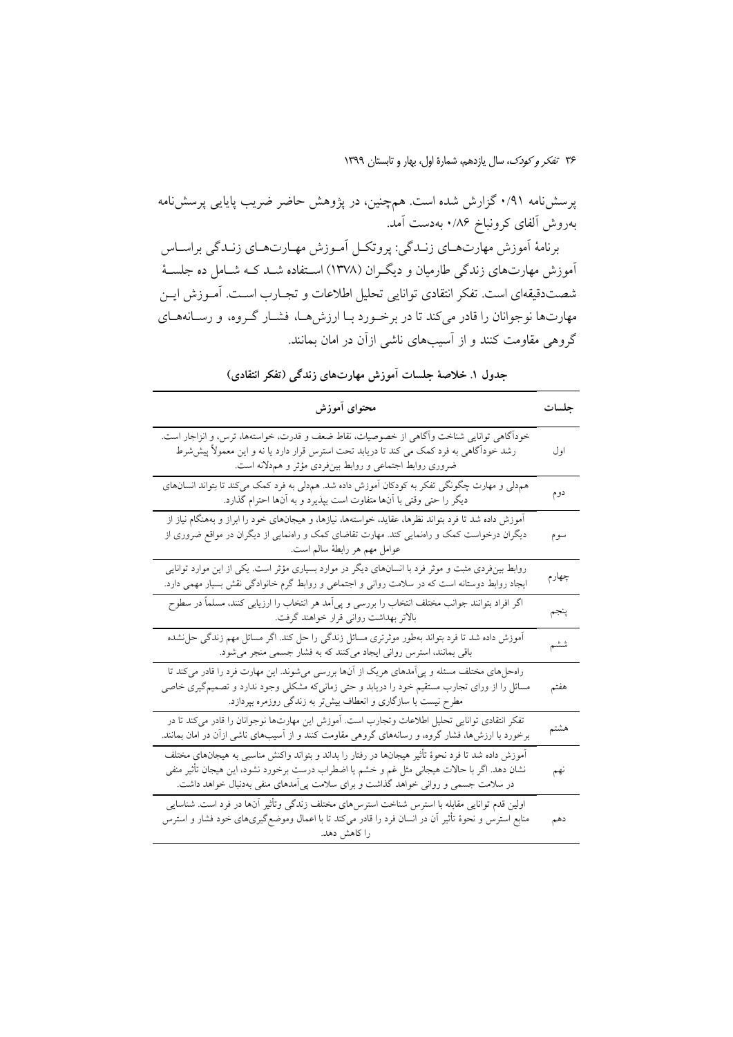پرسشنامه ۰/۹۱ گزارش شده است. همچنین، در پژوهش حاضر ضریب پایایی پرسشنامه بهروش ألفاي كرونباخ ٨۶/٠ بهدست أمد.

برنامهٔ اَموزش مهارتهـاي زنـدگي: پروتكـل اَمـوزش مهـارتهـاي زنـدگي براسـاس آموزش مهارتهای زندگی طارمیان و دیگـران (۱۳۷۸) اسـتفاده شــد کــه شــامل ده جلســهٔ شصتدقیقهای است. تفکر انتقادی توانایی تحلیل اطلاعات و تجـارب اسـت. آمـوزش ایــن مهارتها نوجوانان را قادر میکند تا در برخورد بـا ارزش هـا، فشــار گــروه، و رســانههــای گروهی مقاومت کنند و از آسیبهای ناشی ازآن در امان بمانند.

| محتواى أموزش                                                                                                                                                                                                                                                                          | جلسات |
|---------------------------------------------------------------------------------------------------------------------------------------------------------------------------------------------------------------------------------------------------------------------------------------|-------|
| خودآگاهی توانایی شناخت وآگاهی از خصوصیات، نقاط ضعف و قدرت، خواستهها، ترس، و انزاجار است.<br>رشد خوداًگاهی به فرد کمک می کند تا دریابد تحت استرس قرار دارد یا نه و این معمولاً پیششرط<br>ضروری روابط اجتماعی و روابط بینفردی مؤثر و هم۵لانه است.                                       | اول   |
| هم,دلی و مهارت چگونگی تفکر به کودکان آموزش داده شد. هم,دلی به فرد کمک میکند تا بتواند انسانهای<br>دیگر را حتی وقتی با آنها متفاوت است بپذیرد و به آنها احترام گذارد.                                                                                                                  | دوم   |
| آموزش داده شد تا فرد بتواند نظرها، عقاید، خواستهها، نیازها، و هیجانهای خود را ابراز و بههنگام نیاز از<br>دیگران درخواست کمک و رامنمایی کند. مهارت تقاضای کمک و رامنمایی از دیگران در مواقع ضروری از<br>عوامل مهم هر رابطهٔ سالم است.                                                  | سوم   |
| روابط بینفردی مثبت و موثر فرد با انسانهای دیگر در موارد بسیاری مؤثر است. یکی از این موارد توانایی<br>ایجاد روابط دوستانه است که در سلامت روانی و اجتماعی و روابط گرم خانوادگی نقش بسیار مهمی دارد.                                                                                    | چهارم |
| اگر افراد بتوانند جوانب مختلف انتخاب را بررسی و پی مد هر انتخاب را ارزیابی کنند، مسلماً در سطوح<br>بالاتر بهداشت روانی قرار خواهند گرفت.                                                                                                                                              | پنجم  |
| اًموزش داده شد تا فرد بتواند بهطور موثرتری مسائل زندگی را حل کند. اگر مسائل مهم زندگی حل'شده<br>باقی بمانند، استرس روانی ایجاد میکنند که به فشار جسمی منجر میشود.                                                                                                                     | ششم   |
| راهحلهای مختلف مسئله و پی مدهای هریک از آنها بررسی میشوند. این مهارت فرد را قادر میکند تا<br>مسائل را از ورای تجارب مستقیم خود را دریابد و حتی زمانی۵۵ مشکلی وجود ندارد و تصمیمگیری خاصی<br>مطرح نیست با سازگاری و انعطاف بیشتر به زندگی روزمره بپردازد.                              | هفتم  |
| تفکر انتقادی توانایی تحلیل اطلاعات وتجارب است. أموزش این مهارتها نوجوانان را قادر میکند تا در<br>برخورد با ارزشها، فشار گروه، و رسانههای گروهی مقاومت کنند و از آسیبهای ناشی ازآن در امان بمانند.                                                                                     | هشتم  |
| آموزش داده شد تا فرد نحوهٔ تأثیر هیجانها در رفتار را بداند و بتواند واکنش مناسبی به هیجانهای مختلف<br>نشان دهد. اگر با حالات هیجانی مثل غم و خشم یا اضطراب درست برخورد نشود، این هیجان تأثیر منفی<br>در سلامت جسمی و روانی خواهد گذاشت و برای سلامت پی]مدهای منفی بهدنبال خواهد داشت. | نهم   |
| اولین قدم توانایی مقابله با استرس شناخت استرس،های مختلف زندگی وتأثیر آنها در فرد است. شناسایی<br>منابع استرس و نحوهٔ تأثیر أن در انسان فرد را قادر میکند تا با اعمال وموضع گیریهای خود فشار و استرس<br>را کاهش دهد.                                                                   | دهم   |

جدول ١. خلاصهٔ جلسات آموزش مهارتهای زندگی (تفکر انتقادی)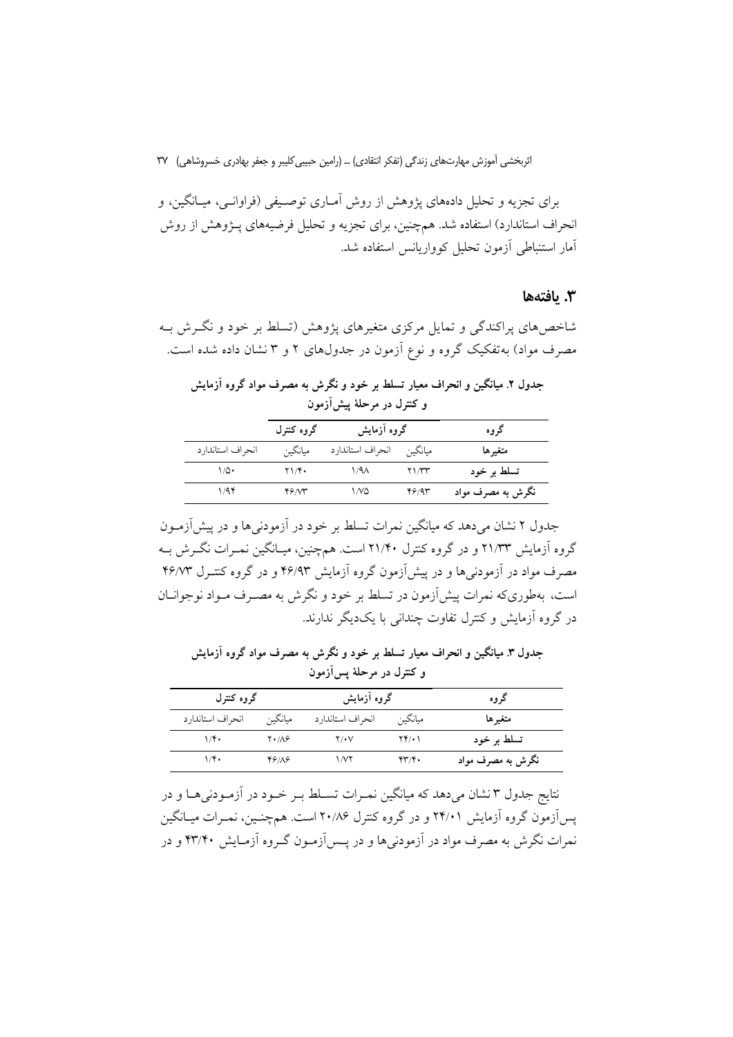برای تجزیه و تحلیل دادههای پژوهش از روش آمـاری توصـیفی (فراوانــی، میــانگین، و انحراف استاندارد) استفاده شد. همچنین، برای تجزیه و تحلیل فرضیههای پـژوهش از روش آمار استنباطی آزمون تحلیل کوواریانس استفاده شد.

### 3. يافتەھا

شاخصهای پراکندگی و تمایل مرکزی متغیرهای پژوهش (تسلط بر خود و نگـرش بـه مصرف مواد) به تفکیک گروه و نوع آزمون در جدولهای ۲ و ۳ نشان داده شده است.

| جدول ۲. میانگین و انحراف معیار تسلط بر خود و نگرش به مصرف مواد گروه آزمایش<br>و کنترل در مرحلهٔ پیشآزمون |            |             |      |  |  |
|----------------------------------------------------------------------------------------------------------|------------|-------------|------|--|--|
|                                                                                                          | گروه کنترل | گروه آزمایش | گروه |  |  |
|                                                                                                          |            |             |      |  |  |

|                   | گروه کنترل                        | گروه آزمایش              |       | کروه              |
|-------------------|-----------------------------------|--------------------------|-------|-------------------|
| انحراف استاندار د | ميانگين                           | مبانگین انحراف استاندارد |       | متغيرها           |
| ۱۵۰               | $\mathbf{Y} \setminus \mathbf{Y}$ | ۱/۹۸                     | ۲۱/۳۳ | تسلط بر خود       |
| ۶۴/               | 46.VT                             | ۱۸۵                      | ۴۶/۹۳ | نگرش به مصرف مواد |

جدول ۲ نشان می دهد که میانگین نمرات تسلط بر خود در آزمودنی ها و در پیش آزمـون گروه آزمایش ۲۱/۳۳ و در گروه کنترل ۲۱/۴۰ است. همچنین، میـانگین نمـرات نگـرش بـه مصرف مواد در آزمودنبیها و در پیش آزمون گروه آزمایش ۴۶/۹۳ و در گروه کنتـرل ۴۶/۷۳ است، بهطوریکه نمرات پیشآزمون در تسلط بر خود و نگرش به مصـرف مـواد نوجوانــان در گروه آزمایش و کنترل تفاوت چندانی با یکدیگر ندارند.

جدول ۳. میانگین و انحراف معیار تسلط بر خود و نگرش به مصرف مواد گروه آزمایش و کنترل در مرحلهٔ پس[زمون

| گروه کنترل        |                       | گروه آزمایش      |                           | گروه              |  |
|-------------------|-----------------------|------------------|---------------------------|-------------------|--|
| انحراف استاندار د | ميانگين               | انحراف استاندارد | ميانگين                   | متغيرها           |  |
| $1/\mathfrak{F}$  | $Y \cdot / \Lambda$ ۶ | $Y/\cdot V$      | ۲۴/۰۱                     | تسلط بر خود       |  |
| ۱/۴۰              | ۴۶۱۸۶                 | ۱٬۷۲             | $\mathbf{y} = \mathbf{y}$ | نگرش به مصرف مواد |  |

نتايج جدول ٣ نشان ميدهد كه ميانگين نمـرات تسـلط بـر خـود در آزمـودنيهـا و در یس آزمون گروه آزمایش ۲۴/۰۱ و در گروه کنترل ۲۰/۸۶ است. همچنـین، نمـرات میــانگین نمرات نگرش به مصرف مواد در آزمودنیها و در پــسآزمــون گــروه آزمــایش ۴۳/۴۰ و در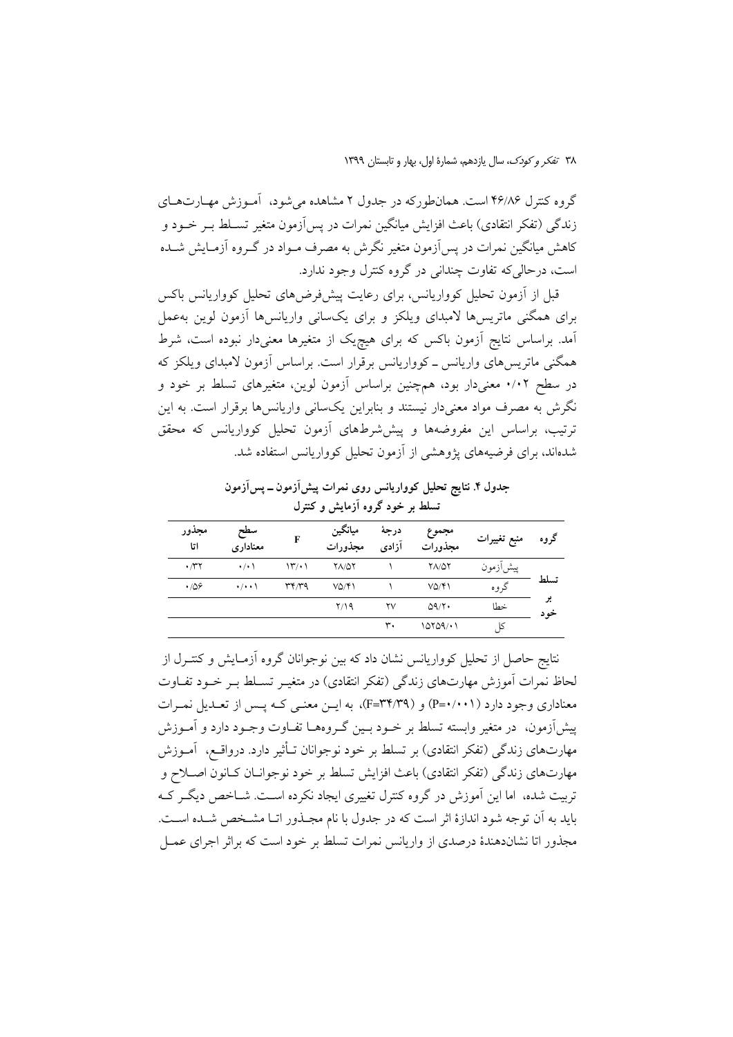گروه کنترل ۴۶/۸۶ است. همانطورکه در جدول ۲ مشاهده می شود، آمـوزش مهـارتهـای زندگی (تفکر انتقادی) باعث افزایش میانگین نمرات در پس آزمون متغیر تسـلط بـر خــود و کاهش میانگین نمرات در پس آزمون متغیر نگرش به مصرف مـواد در گـروه آزمـایش شــده است، درحالي كه تفاوت چنداني در گروه كنترل وجود ندارد.

قبل از آزمون تحلیل کوواریانس، برای رعایت پیشفررضهای تحلیل کوواریانس باکس برای همگنی ماتریسها لامبدای ویلکز و برای یکسانی واریانسها آزمون لوین بهعمل آمد. براساس نتایج آزمون باکس که برای هیچیک از متغیرها معنیدار نبوده است، شرط همگنی ماتریس های واریانس ــ کوواریانس برقرار است. براساس آزمون لامبدای ویلکز که در سطح ۰/۰۲ معنیدار بود، همچنین براساس آزمون لوین، متغیرهای تسلط بر خود و نگرش به مصرف مواد معنیدار نیستند و بنابراین یکسانی واریانسها برقرار است. به این ترتیب، براساس این مفروضهها و پیش شرطهای آزمون تحلیل کوواریانس که محقق شدهاند، برای فرضیههای یژوهشی از آزمون تحلیل کوواریانس استفاده شد.

جدول ۴. نتایج تحلیل کوواریانس روی نمرات پیش[زمون ــ پس[زمون تسلط بر خود گروه آزمایش و کنترل

| مجذور<br>اتا | سطح<br>معناداري     | F                    | ميانگين<br>مجذورات     | درجة<br>آزادى | مجموع<br>مجذورات | منبع تغييرات | گروه       |
|--------------|---------------------|----------------------|------------------------|---------------|------------------|--------------|------------|
| $\cdot \pi$  | $\cdot$ / $\cdot$ \ | $\mathcal{W}(\cdot)$ | <b>YA/QY</b>           |               | <b>YA/QY</b>     | پيشازمون     |            |
| $\cdot$ /08  | $\cdot/\cdot\cdot$  | ۳۴٬۳۹                | $V\Delta/\mathfrak{F}$ |               | VQ/Y             | گروه         | تسلط       |
|              |                     |                      | Y/19                   | ۲٧            | 09/Y             | خطا          | پر<br>خه د |
|              |                     |                      |                        | ۳۰            | 10109/11         | کا           |            |

نتایج حاصل از تحلیل کوواریانس نشان داد که بین نوجوانان گروه آزمـایش و کنتـرل از لحاظ نمرات آموزش مهارتهای زندگی (تفکر انتقادی) در متغیـر تسـلط بـر خـود تفـاوت معناداری وجود دارد (P=۰/۰۰۱) و (F=۳۴/۳۹)، به ایـن معنـی کـه یـس از تعـدیل نمـرات پیشآزمون، در متغیر وابسته تسلط بر خـود بـین گـروههـا تفـاوت وجـود دارد و آمـوزش مهارتهای زندگی (تفکر انتقادی) بر تسلط بر خود نوجوانان تـأثیر دارد. درواقـع، آمـوزش مهارتهاي زندگي (تفكر انتقادي) باعث افزايش تسلط بر خود نوجوانــان كــانون اصــلاح و تربیت شده، اما این آموزش در گروه کنترل تغییری ایجاد نکرده اسـت. شــاخص دیگـر کــه بايد به آن توجه شود اندازهٔ اثر است كه در جدول با نام مجـذور اتـا مشـخص شـده اسـت. مجذور اتا نشاندهندهٔ درصدی از واریانس نمرات تسلط بر خود است که براثر اجرای عمــل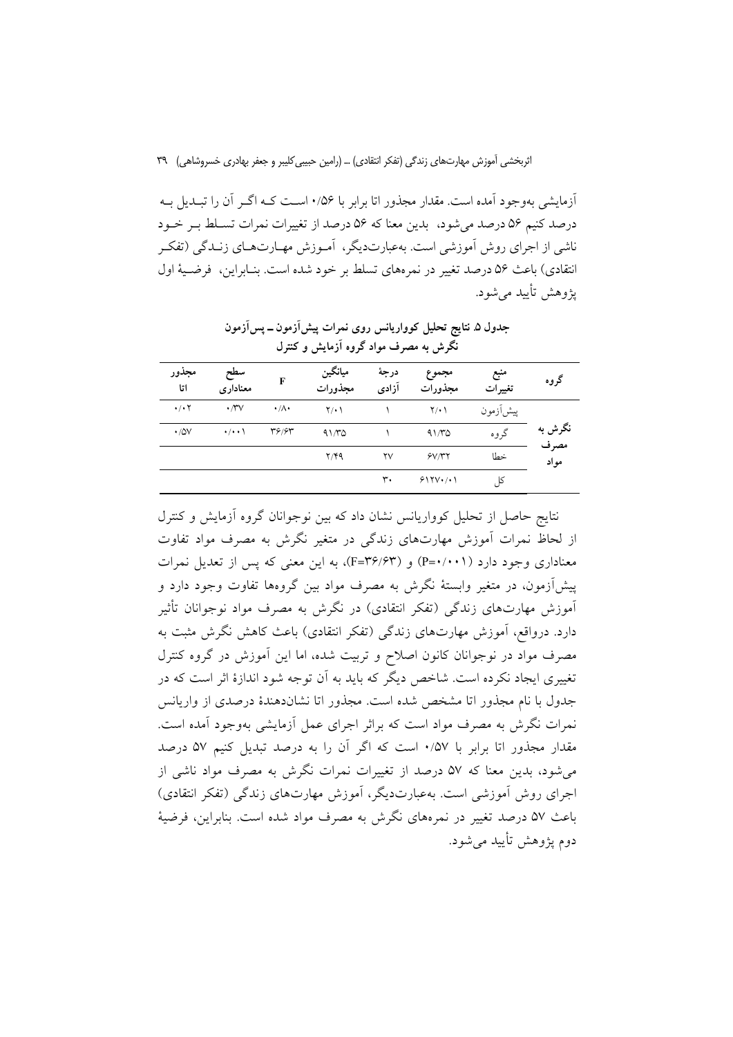آزمایشی بهوجود آمده است. مقدار مجذور اتا برابر با ۰/۵۶ اسـت کـه اگـر آن را تبـدیل بـه درصد کنیم ۵۶ درصد می شود، آبدین معنا که ۵۶ درصد از تغییرات نمرات تسلط به خـود ناشی از اجرای روش آموزشی است. بهعبارتدیگر، آمـوزش مهـارتهـای زنـدگی (تفکـر انتقادي) باعث ۵۶ درصد تغيير در نمرههاي تسلط بر خود شده است. بنـابراين، فرضـيهٔ اول پڑوهش تأمید مے شود.

جدول ۵ نتایج تحلیل کوواریانس روی نمرات پیشآزمون ــ پسآزمون نگرش به مصرف مواد گروه آزمایش و کنترل

| مجذور<br>اتا              | سطح<br>معنادارى     | F               | ميانگين<br>مجذورات | درجة<br>آزادی          | مجموع<br>مجذورات | منبع<br>تغييرات | گروه         |
|---------------------------|---------------------|-----------------|--------------------|------------------------|------------------|-----------------|--------------|
| $\cdot$ / $\cdot$ $\cdot$ | $\cdot$ / $\vee$    | $\cdot/\Lambda$ | $Y(\cdot)$         |                        | $Y(\cdot)$       | پیشآزمون        |              |
| $\cdot$ /0V               | $\cdot$ / $\cdot$ \ | 39/65           | 91/70              |                        | 91/70            | گر وه           | نگرش به      |
|                           |                     |                 | Y/YQ               | $\mathsf{Y}\mathsf{V}$ | SVMY             | خطا             | مصرف<br>مواد |
|                           |                     |                 |                    | ٣٠                     | $515V+1$         | کا              |              |

نتایج حاصل از تحلیل کوواریانس نشان داد که بین نوجوانان گروه آزمایش و کنترل از لحاظ نمرات آموزش مهارتهای زندگی در متغیر نگرش به مصرف مواد تفاوت معناداری وجود دارد (P=۰/۰۰۱) و (F=۳۶/۶۳)، به این معنی که پس از تعدیل نمرات پیش[زمون، در متغیر وابستهٔ نگرش به مصرف مواد بین گروهها تفاوت وجود دارد و آموزش مهارتهای زندگی (تفکر انتقادی) در نگرش به مصرف مواد نوجوانان تأثیر دارد. درواقع، اَموزش مهارتهای زندگی (تفکر انتقادی) باعث کاهش نگرش مثبت به مصرف مواد در نوجوانان کانون اصلاح و تربیت شده، اما این آموزش در گروه کنترل تغییری ایجاد نکرده است. شاخص دیگر که باید به آن توجه شود اندازهٔ اثر است که در جدول با نام مجذور اتا مشخص شده است. مجذور اتا نشاندهندهٔ درصدی از واریانس نمرات نگرش به مصرف مواد است که براثر اجرای عمل آزمایشی بهوجود آمده است. مقدار مجذور اتا برابر با ۰/۵۷ است که اگر آن را به درصد تبدیل کنیم ۵۷ درصد می شود، بدین معنا که ۵۷ درصد از تغییرات نمرات نگرش به مصرف مواد ناشی از اجرای روش آموزشی است. بهعبارتدیگر، آموزش مهارتهای زندگی (تفکر انتقادی) باعث ۵۷ درصد تغییر در نمرههای نگرش به مصرف مواد شده است. بنابراین، فرضیهٔ دوم يژوهش تأييد مي شود.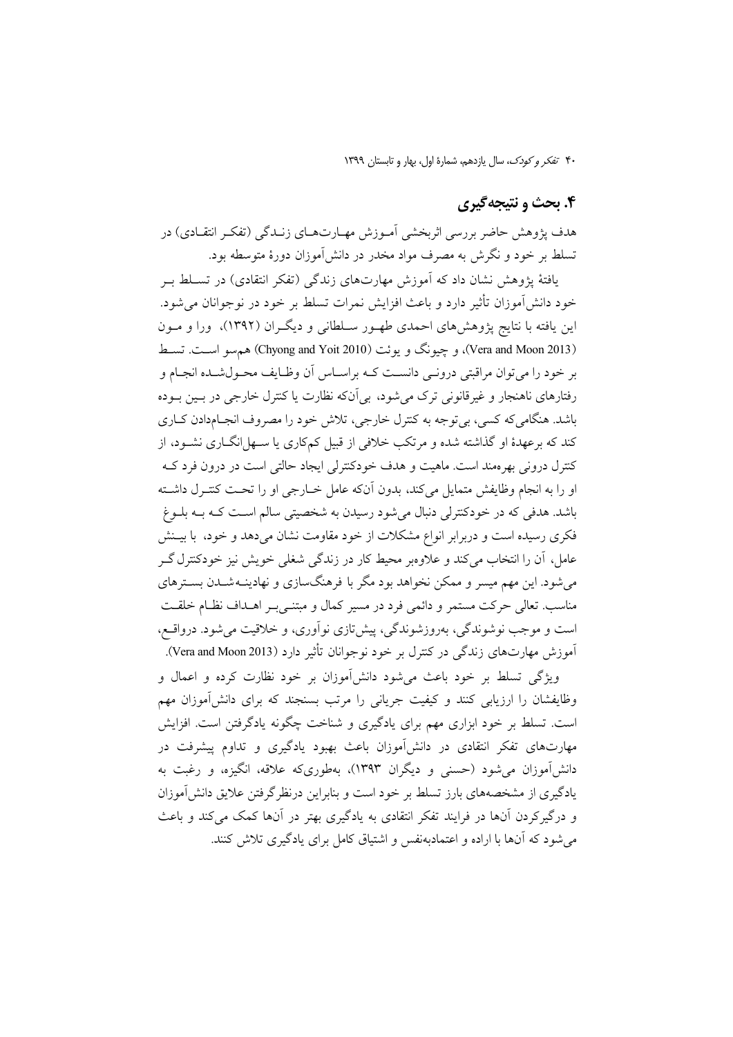۴۰ تفكر وكودك، سال يازدهم، شمارة اول، بهار و تابستان ١٣٩٩

### ۴. بحث و نتیجهگیری

هدف پژوهش حاضر بررسی اثربخشی آمـوزش مهـارتهـای زنـدگی (تفکـر انتقـادی) در تسلط بر خود و نگرش به مصرف مواد مخدر در دانشآموزان دورهٔ متوسطه بود.

یافتهٔ یژوهش نشان داد که آموزش مهارتهای زندگی (تفکر انتقادی) در تسـلط بـر خود دانشآموزان تأثیر دارد و باعث افزایش نمرات تسلط بر خود در نوجوانان می شود. این یافته با نتایج پژوهشهای احمدی طهـور سـلطانی و دیگـران (۱۳۹۲)، ورا و مـون (Vera and Moon 2013)، و چیونگ و یوئت (Chyong and Yoit 2010) هم سو است. تسط بر خود را می توان مراقبتی درونبی دانسـت کـه براسـاس أن وظـايف محـولشـده انجـام و رفتارهای ناهنجار و غیرقانونی ترک می شود، بی آنکه نظارت یا کنترل خارجی در بسین بوده باشد. هنگامی که کسی، بی توجه به کنترل خارجی، تلاش خود را مصروف انجـامدادن کـاری کند که برعهدهٔ او گذاشته شده و مرتکب خلافی از قبیل کمکاری یا سـهل|نگــاری نشــود، از کنترل درونی بهرهمند است. ماهیت و هدف خودکنترلی ایجاد حالتی است در درون فرد کـه او را به انجام وظایفش متمایل میکند، بدون آنکه عامل خــارجی او را تحـت کنتــرل داشــته باشد. هدفی که در خودکنترلی دنبال می شود رسیدن به شخصیتی سالم اسـت کــه بــه بلــوغ فکری رسیده است و دربرابر انواع مشکلات از خود مقاومت نشان می دهد و خود، با بیــنش عامل، أن را انتخاب مي كند و علاوهبر محيط كار در زندگي شغلي خويش نيز خودكنترل گــر می شود. این مهم میسر و ممکن نخواهد بود مگر با فرهنگسازی و نهادینـه شــدن بســترهای مناسب. تعالی حرکت مستمر و دائمی فرد در مسیر کمال و مبتنـی بـر اهــداف نظــام خلقــت است و موجب نوشوندگی، بهروزشوندگی، پیشتازی نواّوری، و خلاقیت میشود. درواقع، آموزش مهارتهای زندگی در کنترل بر خود نوجوانان تأثیر دارد (Vera and Moon 2013).

ویژگی تسلط بر خود باعث می شود دانش آموزان بر خود نظارت کرده و اعمال و وظایفشان را ارزیابی کنند و کیفیت جریانی را مرتب بسنجند که برای دانش آموزان مهم است. تسلط بر خود ابزاری مهم برای یادگیری و شناخت چگونه یادگرفتن است. افزایش مهارتهای تفکر انتقادی در دانش آموزان باعث بهبود یادگیری و تداوم پیشرفت در دانشآموزان می شود (حسنی و دیگران ۱۳۹۳)، بهطوریکه علاقه، انگیزه، و رغبت به یادگیری از مشخصههای بارز تسلط بر خود است و بنابراین درنظر گرفتن علایق دانش آموزان و درگیرکردن آنها در فرایند تفکر انتقادی به یادگیری بهتر در آنها کمک می کند و باعث می شود که آنها با اراده و اعتمادبهنفس و اشتیاق کامل برای یادگیری تلاش کنند.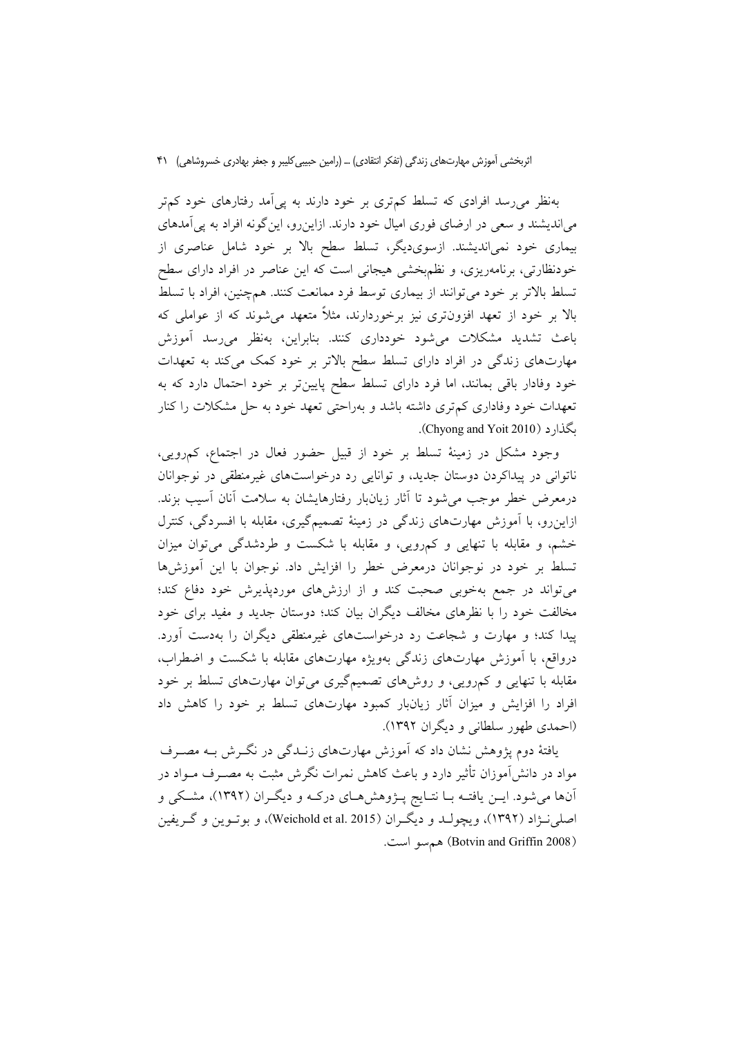بهنظر می رسد افرادی که تسلط کمتری بر خود دارند به یی آمد رفتارهای خود کمتر می اندیشند و سعی در ارضای فوری امیال خود دارند. ازاین رو، این گونه افراد به یی آمدهای بیماری خود نمیاندیشند. ازسویدیگر، تسلط سطح بالا بر خود شامل عناصری از خودنظارتی، برنامهریزی، و نظم بخشی هیجانی است که این عناصر در افراد دارای سطح تسلط بالاتر بر خود می توانند از بیماری توسط فرد ممانعت کنند. همچنین، افراد با تسلط بالا بر خود از تعهد افزونتری نیز برخوردارند، مثلاً متعهد میشوند که از عواملی که باعث تشدید مشکلات میشود خودداری کنند. بنابراین، بهنظر میرسد آموزش مهارتهای زندگی در افراد دارای تسلط سطح بالاتر بر خود کمک میکند به تعهدات خود وفادار باقی بمانند، اما فرد دارای تسلط سطح پایینتر بر خود احتمال دارد که به تعهدات خود وفاداری کم تری داشته باشد و بهراحتی تعهد خود به حل مشکلات را کنار .Chyong and Yoit 2010).

وجود مشکل در زمینهٔ تسلط بر خود از قبیل حضور فعال در اجتماع، کمرویی، ناتوانی در پیداکردن دوستان جدید، و توانایی رد درخواستهای غیرمنطقی در نوجوانان درمعرض خطر موجب می شود تا آثار زیانبار رفتارهایشان به سلامت آنان آسیب بزند. ازاین رو، با آموزش مهارتهای زندگی در زمینهٔ تصمیمگیری، مقابله با افسردگی، کنترل خشم، و مقابله با تنهایی و کمرویی، و مقابله با شکست و طردشدگی میتوان میزان تسلط بر خود در نوجوانان درمعرض خطر را افزایش داد. نوجوان با این آموزشها میتواند در جمع بهخوبی صحبت کند و از ارزشهای موردپذیرش خود دفاع کند؛ مخالفت خود را با نظرهای مخالف دیگران بیان کند؛ دوستان جدید و مفید برای خود پیدا کند؛ و مهارت و شجاعت رد درخواستهای غیرمنطقی دیگران را بهدست آورد. درواقع، با آموزش مهارتهای زندگی بهویژه مهارتهای مقابله با شکست و اضطراب، مقابله با تنهایی و کمرویی، و روشهای تصمیمگیری میتوان مهارتهای تسلط بر خود افراد را افزایش و میزان آثار زیانبار کمبود مهارتهای تسلط بر خود را کاهش داد (احمدي طهور سلطاني و ديگران ١٣٩٢).

یافتهٔ دوم پژوهش نشان داد که آموزش مهارتهای زنــدگی در نگــرش بــه مصــرف مواد در دانش[موزان تأثیر دارد و باعث کاهش نمرات نگرش مثبت به مصـرف مــواد در آنها میشود. ایـن یافتـه بـا نتـایج پـژوهشهـای درکـه و دیگـران (۱۳۹۲)، مشـکی و اصلي نــژاد (١٣٩٢)، ويچولــد و ديگــران (Weichold et al. 2015)، و بوتــوين و گــريفين (Botvin and Griffin 2008) هم سو است.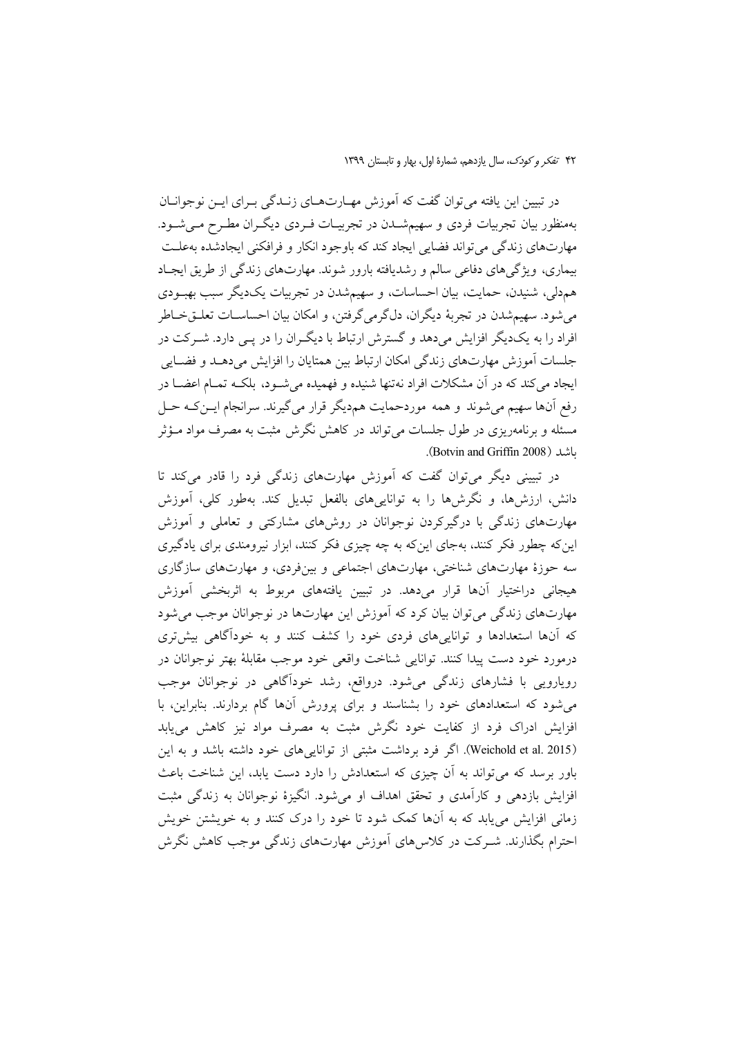در تبیین این یافته می توان گفت که آموزش مهـارتهـای زنــدگی بــرای ایــن نوجوانــان بهمنظور بیان تجربیات فردی و سهیمشـدن در تجربیـات فـردی دیگـران مطـرح مـیشـود. مهارتهاي زندگي مي تواند فضايي ايجاد كند كه باوجود انكار و فرافكني ايجادشده بهعلـت بیماری، ویژگیهای دفاعی سالم و رشدیافته بارور شوند. مهارتهای زندگی از طریق ایجـاد هم دلي، شنيدن، حمايت، بيان احساسات، و سهيمشدن در تجربيات يکديگر سبب بهبودي میشود. سهیمشدن در تجربهٔ دیگران، دلگرمیگرفتن، و امکان بیان احساسـات تعلـقخــاطر افراد را به یکدیگر افزایش میدهد و گسترش ارتباط با دیگران را در پـی دارد. شـرکت در جلسات آموزش مهارتهاي زندگي امكان ارتباط بين همتايان را افزايش ميدهـد و فضـايي ایجاد می کند که در آن مشکلات افراد نهتنها شنیده و فهمیده می شـود، بلکـه تمـام اعضـا در رفع آنها سهیم میشوند و همه موردحمایت همدیگر قرار میگیرند. سرانجام ایـن کـه حـل مسئله و برنامهریزی در طول جلسات می تواند در کاهش نگرش مثبت به مصرف مواد مـؤثر ىاشد (Botvin and Griffin 2008).

در تبیینی دیگر میتوان گفت که آموزش مهارتهای زندگی فرد را قادر میکند تا دانش، ارزشها، و نگرشها را به تواناییهای بالفعل تبدیل کند. بهطور کلی، آموزش مهارتهای زندگی با درگیرکردن نوجوانان در روشهای مشارکتی و تعاملی و آموزش این که چطور فکر کنند، بهجای این که به چه چیزی فکر کنند، ابزار نیرومندی برای یادگیری سه حوزهٔ مهارتهای شناختی، مهارتهای اجتماعی و بینفردی، و مهارتهای سازگاری هیجانی دراختیار آنها قرار میدهد. در تبیین یافتههای مربوط به اثربخشی آموزش مهارتهای زندگی می توان بیان کرد که آموزش این مهارتها در نوجوانان موجب می شود که آنها استعدادها و تواناییهای فردی خود را کشف کنند و به خودآگاهی بیش تری درمورد خود دست پيدا كنند. توانايي شناخت واقعي خود موجب مقابلهٔ بهتر نوجوانان در رویارویی با فشارهای زندگی می شود. درواقع، رشد خودآگاهی در نوجوانان موجب می شود که استعدادهای خود را بشناسند و برای پرورش آنها گام بردارند. بنابراین، با افزایش ادراک فرد از کفایت خود نگرش مثبت به مصرف مواد نیز کاهش می یابد (Weichold et al. 2015). اگر فرد برداشت مثبتی از تواناییهای خود داشته باشد و به این باور برسد که می تواند به اَن چیزی که استعدادش را دارد دست یابد، این شناخت باعث افزایش بازدهی و کارآمدی و تحقق اهداف او میشود. انگیزهٔ نوجوانان به زندگی مثبت زمانی افزایش می یابد که به آنها کمک شود تا خود را درک کنند و به خویشتن خویش احترام بگذارند. شــرکت در کلاس های اَموزش مهارتهای زندگی موجب کاهش نگرش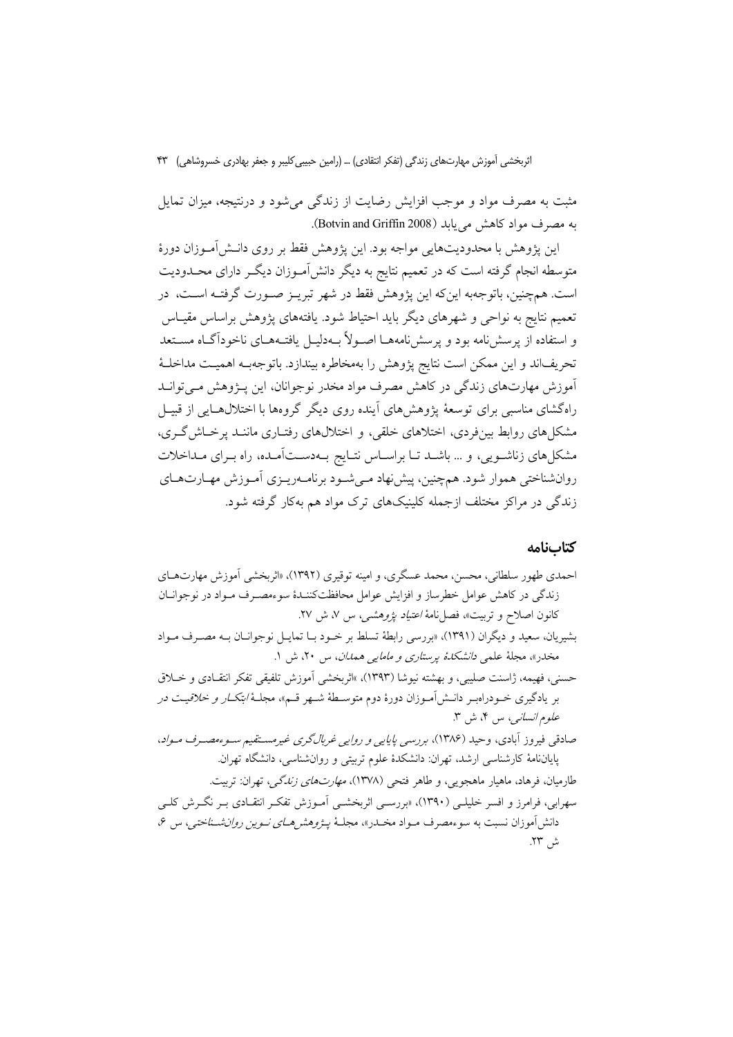مثبت به مصرف مواد و موجب افزایش رضایت از زندگی می شود و درنتیجه، میزان تمایل به مصرف مواد کاهش می یابد (Botvin and Griffin 2008).

این پژوهش با محدودیتهایی مواجه بود. این پژوهش فقط بر روی دانــش|مــوزان دورهٔ متوسطه انجام گرفته است که در تعمیم نتایج به دیگر دانشآمـوزان دیگـر دارای محــدودیت است. همچنین، باتوجهبه اینکه این پژوهش فقط در شهر تبریــز صــورت گرفتــه اســت، در تعمیم نتایج به نواحی و شهرهای دیگر باید احتیاط شود. یافتههای پژوهش براساس مقیـاس و استفاده از پرسش:امه بود و پرسش:امههـا اصـولاً بـهدليـل يافتـههـاي ناخوداًگـاه مســتعد تحریف|ند و این ممکن است نتایج پژوهش را بهمخاطره بیندازد. باتوجهبـه اهمیــت مداخلــهٔ ۔<br>آموزش مهارتهای زندگی در کاهش مصرف مواد مخدر نوجوانان، این پـژوهش مــیتوانــد راهگشای مناسبی برای توسعهٔ پژوهشهای آینده روی دیگر گروهها با اختلالهـایی از قبیـل مشکلهای روابط بینفردی، اختلاهای خلقی، و اختلالهای رفتـاری ماننــد پرخــاش&ری، مشکلهای زناشویی، و … باشـد تـا براسـاس نتـایج بـهدسـتآمـده، راه بـرای مـداخلات روانشناختی هموار شود. همچنین، پیشنهاد مـیشـود برنامـهریـزی آمـوزش مهـارتهـای زندگی در مراکز مختلف ازجمله کلینیکهای ترک مواد هم بهکار گرفته شود.

### كتابنامه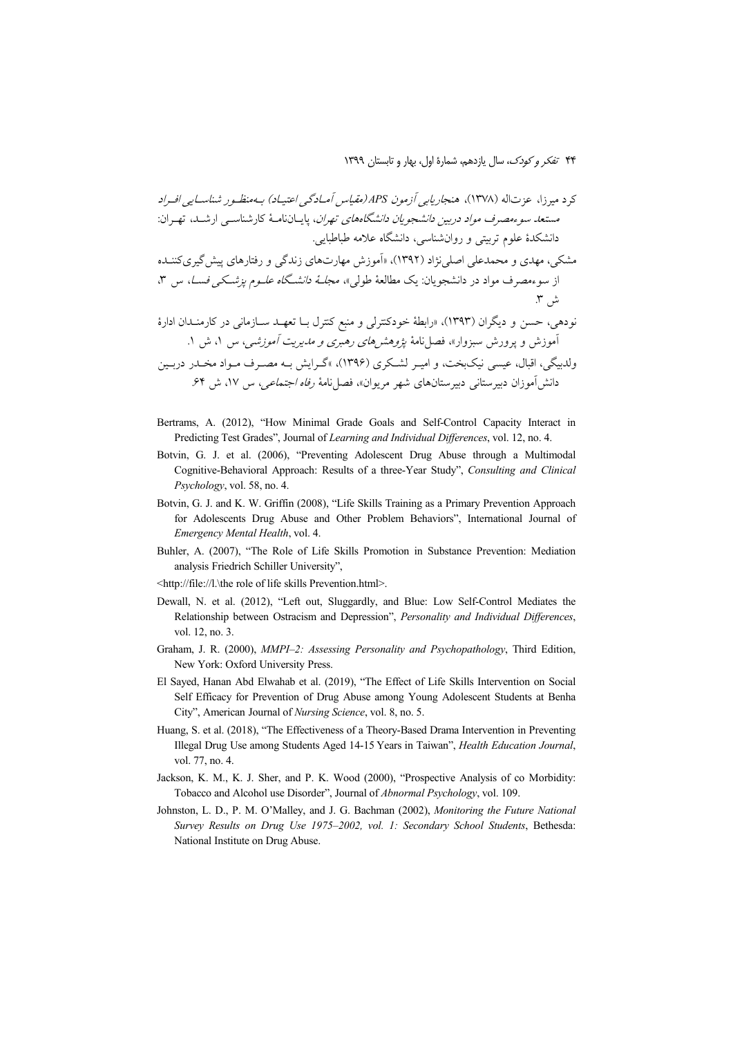- Bertrams, A. (2012), "How Minimal Grade Goals and Self-Control Capacity Interact in Predicting Test Grades", Journal of Learning and Individual Differences, vol. 12, no. 4.
- Botvin, G. J. et al. (2006), "Preventing Adolescent Drug Abuse through a Multimodal Cognitive-Behavioral Approach: Results of a three-Year Study", Consulting and Clinical Psychology, vol. 58, no. 4.
- Botvin, G. J. and K. W. Griffin (2008), "Life Skills Training as a Primary Prevention Approach for Adolescents Drug Abuse and Other Problem Behaviors", International Journal of Emergency Mental Health, vol. 4.
- Buhler, A. (2007), "The Role of Life Skills Promotion in Substance Prevention: Mediation analysis Friedrich Schiller University",
- <http://file://l.\the role of life skills Prevention.html>.
- Dewall, N. et al. (2012), "Left out, Sluggardly, and Blue: Low Self-Control Mediates the Relationship between Ostracism and Depression", Personality and Individual Differences, vol. 12, no. 3.
- Graham, J. R. (2000), MMPI-2: Assessing Personality and Psychopathology, Third Edition, New York: Oxford University Press.
- El Sayed, Hanan Abd Elwahab et al. (2019), "The Effect of Life Skills Intervention on Social Self Efficacy for Prevention of Drug Abuse among Young Adolescent Students at Benha City", American Journal of *Nursing Science*, vol. 8, no. 5.
- Huang, S. et al. (2018). "The Effectiveness of a Theory-Based Drama Intervention in Preventing Illegal Drug Use among Students Aged 14-15 Years in Taiwan", Health Education Journal, vol. 77, no. 4.
- Jackson, K. M., K. J. Sher, and P. K. Wood (2000), "Prospective Analysis of co Morbidity: Tobacco and Alcohol use Disorder", Journal of Abnormal Psychology, vol. 109.
- Johnston, L. D., P. M. O'Malley, and J. G. Bachman (2002), Monitoring the Future National Survey Results on Drug Use 1975-2002, vol. 1: Secondary School Students, Bethesda: National Institute on Drug Abuse.